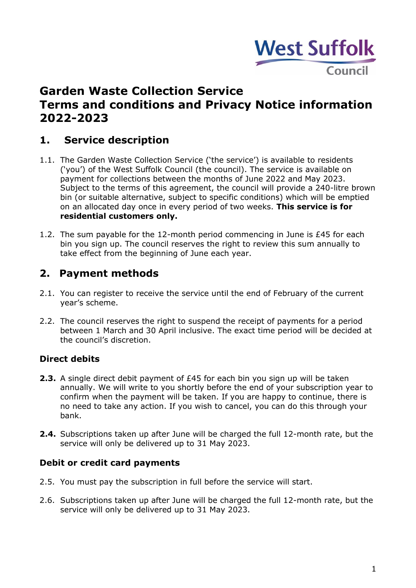

# **Garden Waste Collection Service Terms and conditions and Privacy Notice information 2022-2023**

# **1. Service description**

- 1.1. The Garden Waste Collection Service ('the service') is available to residents ('you') of the West Suffolk Council (the council). The service is available on payment for collections between the months of June 2022 and May 2023. Subject to the terms of this agreement, the council will provide a 240-litre brown bin (or suitable alternative, subject to specific conditions) which will be emptied on an allocated day once in every period of two weeks. **This service is for residential customers only.**
- 1.2. The sum payable for the 12-month period commencing in June is £45 for each bin you sign up. The council reserves the right to review this sum annually to take effect from the beginning of June each year.

### **2. Payment methods**

- 2.1. You can register to receive the service until the end of February of the current year's scheme.
- 2.2. The council reserves the right to suspend the receipt of payments for a period between 1 March and 30 April inclusive. The exact time period will be decided at the council's discretion.

### **Direct debits**

- **2.3.** A single direct debit payment of £45 for each bin you sign up will be taken annually. We will write to you shortly before the end of your subscription year to confirm when the payment will be taken. If you are happy to continue, there is no need to take any action. If you wish to cancel, you can do this through your bank.
- **2.4.** Subscriptions taken up after June will be charged the full 12-month rate, but the service will only be delivered up to 31 May 2023.

### **Debit or credit card payments**

- 2.5. You must pay the subscription in full before the service will start.
- 2.6. Subscriptions taken up after June will be charged the full 12-month rate, but the service will only be delivered up to 31 May 2023.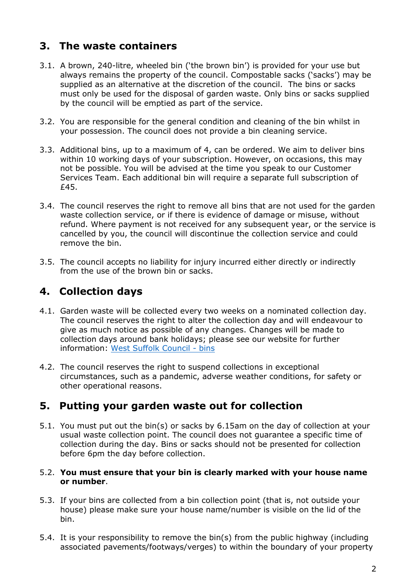# **3. The waste containers**

- 3.1. A brown, 240-litre, wheeled bin ('the brown bin') is provided for your use but always remains the property of the council. Compostable sacks ('sacks') may be supplied as an alternative at the discretion of the council. The bins or sacks must only be used for the disposal of garden waste. Only bins or sacks supplied by the council will be emptied as part of the service.
- 3.2. You are responsible for the general condition and cleaning of the bin whilst in your possession. The council does not provide a bin cleaning service.
- 3.3. Additional bins, up to a maximum of 4, can be ordered. We aim to deliver bins within 10 working days of your subscription. However, on occasions, this may not be possible. You will be advised at the time you speak to our Customer Services Team. Each additional bin will require a separate full subscription of £45.
- 3.4. The council reserves the right to remove all bins that are not used for the garden waste collection service, or if there is evidence of damage or misuse, without refund. Where payment is not received for any subsequent year, or the service is cancelled by you, the council will discontinue the collection service and could remove the bin.
- 3.5. The council accepts no liability for injury incurred either directly or indirectly from the use of the brown bin or sacks.

# **4. Collection days**

- 4.1. Garden waste will be collected every two weeks on a nominated collection day. The council reserves the right to alter the collection day and will endeavour to give as much notice as possible of any changes. Changes will be made to collection days around bank holidays; please see our website for further information: [West Suffolk Council -](https://www.westsuffolk.gov.uk/bins/) bins
- 4.2. The council reserves the right to suspend collections in exceptional circumstances, such as a pandemic, adverse weather conditions, for safety or other operational reasons.

# **5. Putting your garden waste out for collection**

5.1. You must put out the bin(s) or sacks by 6.15am on the day of collection at your usual waste collection point. The council does not guarantee a specific time of collection during the day. Bins or sacks should not be presented for collection before 6pm the day before collection.

#### 5.2. **You must ensure that your bin is clearly marked with your house name or number**.

- 5.3. If your bins are collected from a bin collection point (that is, not outside your house) please make sure your house name/number is visible on the lid of the bin.
- 5.4. It is your responsibility to remove the bin(s) from the public highway (including associated pavements/footways/verges) to within the boundary of your property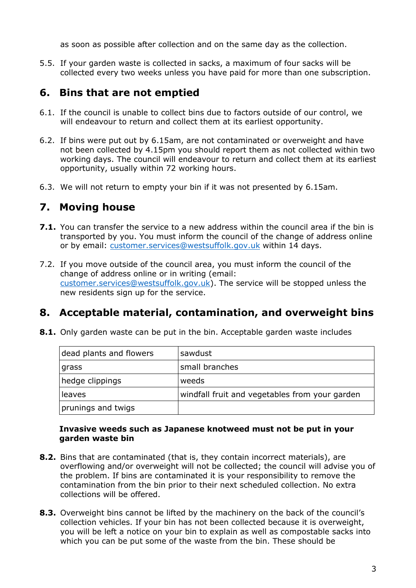as soon as possible after collection and on the same day as the collection.

5.5. If your garden waste is collected in sacks, a maximum of four sacks will be collected every two weeks unless you have paid for more than one subscription.

# **6. Bins that are not emptied**

- 6.1. If the council is unable to collect bins due to factors outside of our control, we will endeavour to return and collect them at its earliest opportunity.
- 6.2. If bins were put out by 6.15am, are not contaminated or overweight and have not been collected by 4.15pm you should report them as not collected within two working days. The council will endeavour to return and collect them at its earliest opportunity, usually within 72 working hours.
- 6.3. We will not return to empty your bin if it was not presented by 6.15am.

# **7. Moving house**

- **7.1.** You can transfer the service to a new address within the council area if the bin is transported by you. You must inform the council of the change of address online or by email: [customer.services@westsuffolk.gov.uk](mailto:customer.services@westsuffolk.gov.uk) within 14 days.
- 7.2. If you move outside of the council area, you must inform the council of the change of address online or in writing (email: [customer.services@westsuffolk.gov.uk\)](mailto:customer.services@westsuffolk.gov.uk). The service will be stopped unless the new residents sign up for the service.

# **8. Acceptable material, contamination, and overweight bins**

**8.1.** Only garden waste can be put in the bin. Acceptable garden waste includes

| dead plants and flowers | sawdust                                        |
|-------------------------|------------------------------------------------|
| grass                   | small branches                                 |
| hedge clippings         | weeds                                          |
| leaves                  | windfall fruit and vegetables from your garden |
| prunings and twigs      |                                                |

#### **Invasive weeds such as Japanese knotweed must not be put in your garden waste bin**

- **8.2.** Bins that are contaminated (that is, they contain incorrect materials), are overflowing and/or overweight will not be collected; the council will advise you of the problem. If bins are contaminated it is your responsibility to remove the contamination from the bin prior to their next scheduled collection. No extra collections will be offered.
- **8.3.** Overweight bins cannot be lifted by the machinery on the back of the council's collection vehicles. If your bin has not been collected because it is overweight, you will be left a notice on your bin to explain as well as compostable sacks into which you can be put some of the waste from the bin. These should be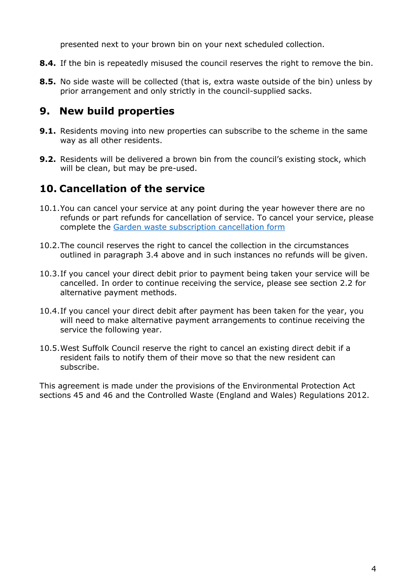presented next to your brown bin on your next scheduled collection.

- **8.4.** If the bin is repeatedly misused the council reserves the right to remove the bin.
- **8.5.** No side waste will be collected (that is, extra waste outside of the bin) unless by prior arrangement and only strictly in the council-supplied sacks.

# **9. New build properties**

- **9.1.** Residents moving into new properties can subscribe to the scheme in the same way as all other residents.
- **9.2.** Residents will be delivered a brown bin from the council's existing stock, which will be clean, but may be pre-used.

### **10. Cancellation of the service**

- 10.1.You can cancel your service at any point during the year however there are no refunds or part refunds for cancellation of service. To cancel your service, please complete the [Garden waste subscription cancellation form](https://forms.office.com/Pages/ResponsePage.aspx?id=282rRBGc30uls5lBi5RvEVU8f-rKW-VAkg847B_Wi5xUM01RQ1kxM0tXVEc1UVFCN0RTMVRQM1FQUC4u&wdLOR=c371B3B41-B087-421B-8D23-E83A7F23AE8A)
- 10.2.The council reserves the right to cancel the collection in the circumstances outlined in paragraph 3.4 above and in such instances no refunds will be given.
- 10.3.If you cancel your direct debit prior to payment being taken your service will be cancelled. In order to continue receiving the service, please see section 2.2 for alternative payment methods.
- 10.4.If you cancel your direct debit after payment has been taken for the year, you will need to make alternative payment arrangements to continue receiving the service the following year.
- 10.5.West Suffolk Council reserve the right to cancel an existing direct debit if a resident fails to notify them of their move so that the new resident can subscribe.

This agreement is made under the provisions of the Environmental Protection Act sections 45 and 46 and the Controlled Waste (England and Wales) Regulations 2012.